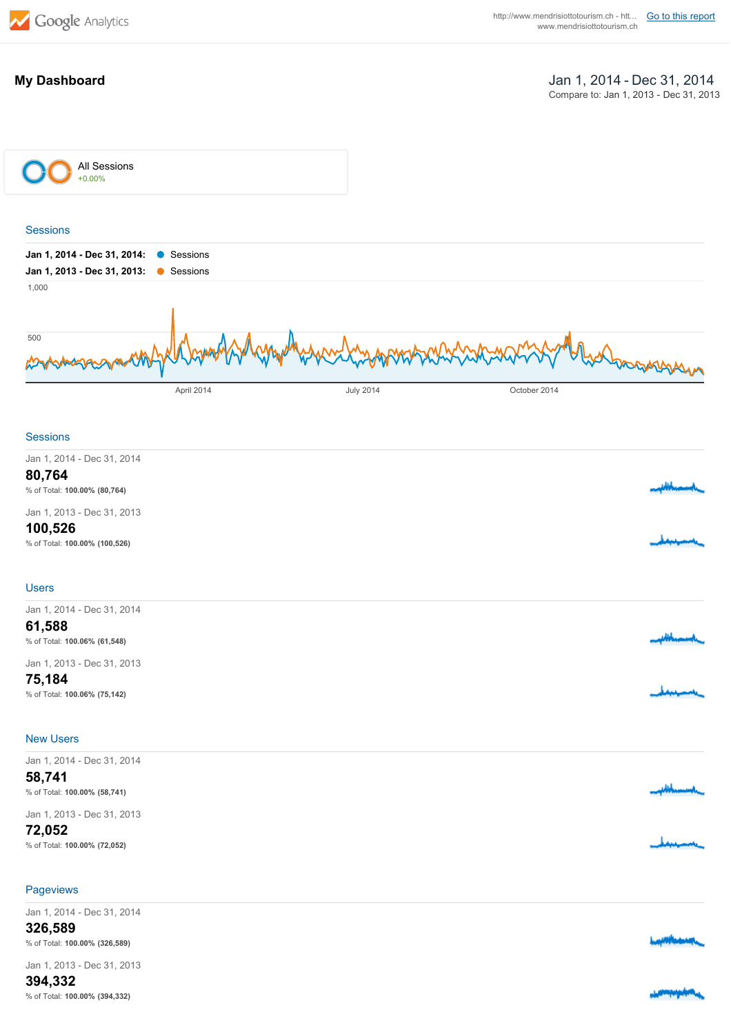

### **My Dashboard**

Jan 1, 2014 Dec 31, 2014 Compare to: Jan 1, 2013 - Dec 31, 2013



#### **Sessions**

| Jan 1, 2014 - Dec 31, 2014    |                     |
|-------------------------------|---------------------|
| 80,764                        |                     |
| % of Total: 100.00% (80,764)  | باستسعيدا فالمابعيت |
| Jan 1, 2013 - Dec 31, 2013    |                     |
| 100,526                       |                     |
| % of Total: 100.00% (100,526) |                     |

#### Users

| Jan 1, 2014 - Dec 31, 2014<br>61,588                                 | بسسيداباليي |
|----------------------------------------------------------------------|-------------|
| % of Total: 100.06% (61,548)<br>Jan 1, 2013 - Dec 31, 2013<br>75,184 |             |
| % of Total: 100.06% (75,142)                                         |             |

#### New Users

| Jan 1, 2014 - Dec 31, 2014   |                            |
|------------------------------|----------------------------|
| 58,741                       |                            |
| % of Total: 100.00% (58,741) | <b>Personal Philippine</b> |
| Jan 1, 2013 - Dec 31, 2013   |                            |
| 72,052                       |                            |
| % of Total: 100.00% (72,052) |                            |
|                              |                            |

#### **Pageviews**

| Jan 1, 2014 - Dec 31, 2014<br>326,589<br>% of Total: 100.00% (326,589) | <b>Lapillingswap</b> |
|------------------------------------------------------------------------|----------------------|
| Jan 1, 2013 - Dec 31, 2013<br>$\cdots$                                 |                      |

**394,332** % of Total: **100.00% (394,332)**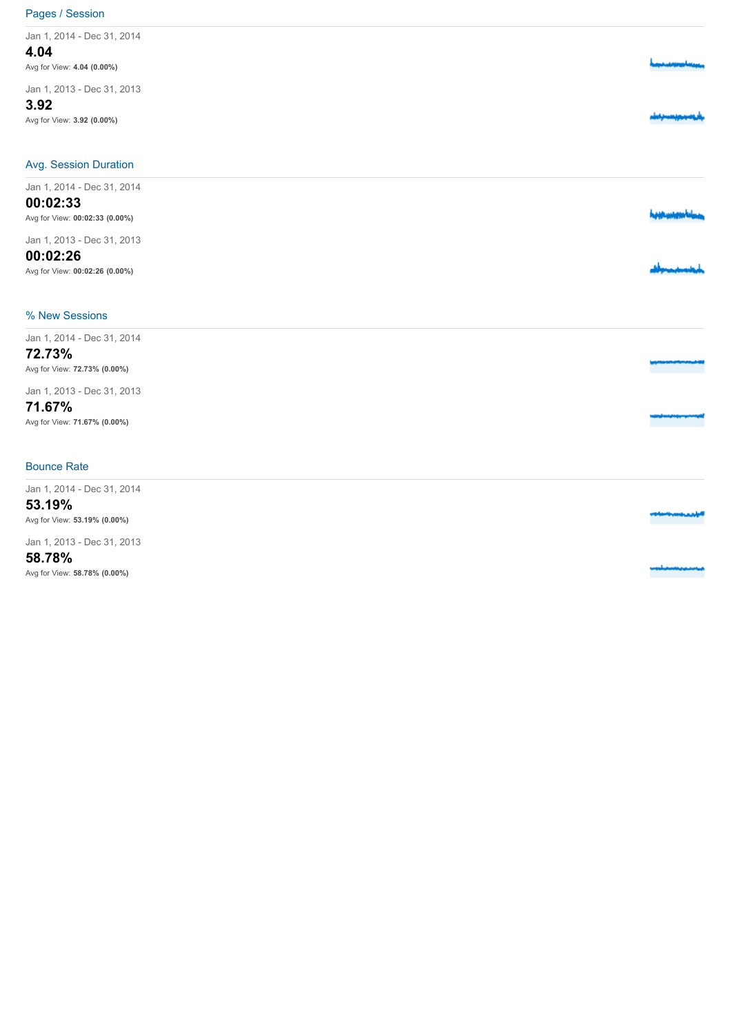## Pages / Session

| Jan 1, 2014 - Dec 31, 2014         |  |
|------------------------------------|--|
| 4.04                               |  |
| Avg for View: 4.04 (0.00%)         |  |
| Jan 1, 2013 - Dec 31, 2013<br>3.92 |  |
| Avg for View: 3.92 (0.00%)         |  |
|                                    |  |
| <b>Avg. Session Duration</b>       |  |
| Jan 1, 2014 - Dec 31, 2014         |  |
| 00:02:33                           |  |
| Avg for View: 00:02:33 (0.00%)     |  |
| Jan 1, 2013 - Dec 31, 2013         |  |
| 00:02:26                           |  |
| Avg for View: 00:02:26 (0.00%)     |  |
| % New Sessions                     |  |
| Jan 1, 2014 - Dec 31, 2014         |  |
| 72.73%                             |  |
| Avg for View: 72.73% (0.00%)       |  |
| Jan 1, 2013 - Dec 31, 2013         |  |
| 71.67%                             |  |
| Avg for View: 71.67% (0.00%)       |  |
| <b>Bounce Rate</b>                 |  |
| Jan 1, 2014 - Dec 31, 2014         |  |
| 53.19%                             |  |
| Avg for View: 53.19% (0.00%)       |  |
| Jan 1, 2013 - Dec 31, 2013         |  |
| 58.78%                             |  |

Avg for View: **58.78% (0.00%)**

dannaa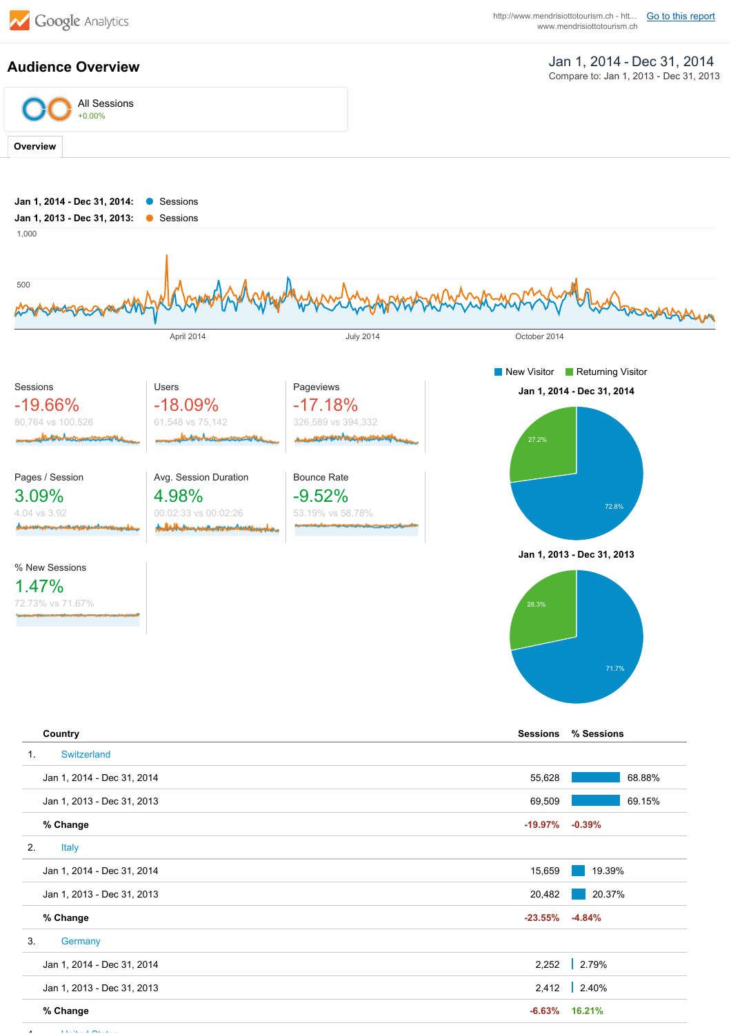

**Audience Overview**

**6.63% 16.21%**

# Jan 1, 2014 Dec 31, 2014

Compare to: Jan 1, 2013 - Dec 31, 2013